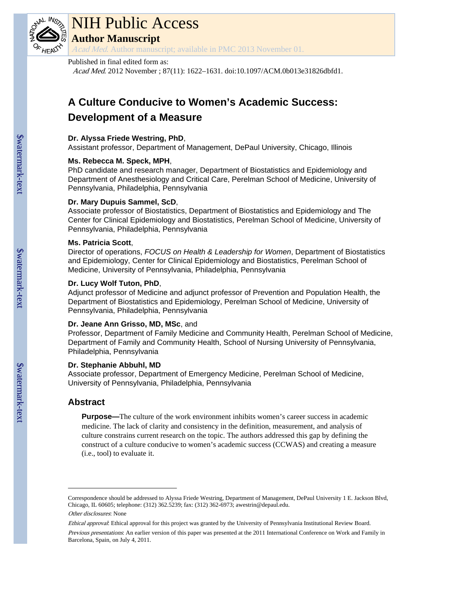

# NIH Public Access

**Author Manuscript**

Acad Med. Author manuscript; available in PMC 2013 November 01.

#### Published in final edited form as:

Acad Med. 2012 November ; 87(11): 1622–1631. doi:10.1097/ACM.0b013e31826dbfd1.

# **A Culture Conducive to Women's Academic Success: Development of a Measure**

#### **Dr. Alyssa Friede Westring, PhD**,

Assistant professor, Department of Management, DePaul University, Chicago, Illinois

#### **Ms. Rebecca M. Speck, MPH**,

PhD candidate and research manager, Department of Biostatistics and Epidemiology and Department of Anesthesiology and Critical Care, Perelman School of Medicine, University of Pennsylvania, Philadelphia, Pennsylvania

#### **Dr. Mary Dupuis Sammel, ScD**,

Associate professor of Biostatistics, Department of Biostatistics and Epidemiology and The Center for Clinical Epidemiology and Biostatistics, Perelman School of Medicine, University of Pennsylvania, Philadelphia, Pennsylvania

#### **Ms. Patricia Scott**,

Director of operations, *FOCUS on Health & Leadership for Women*, Department of Biostatistics and Epidemiology, Center for Clinical Epidemiology and Biostatistics, Perelman School of Medicine, University of Pennsylvania, Philadelphia, Pennsylvania

#### **Dr. Lucy Wolf Tuton, PhD**,

Adjunct professor of Medicine and adjunct professor of Prevention and Population Health, the Department of Biostatistics and Epidemiology, Perelman School of Medicine, University of Pennsylvania, Philadelphia, Pennsylvania

#### **Dr. Jeane Ann Grisso, MD, MSc**, and

Professor, Department of Family Medicine and Community Health, Perelman School of Medicine, Department of Family and Community Health, School of Nursing University of Pennsylvania, Philadelphia, Pennsylvania

#### **Dr. Stephanie Abbuhl, MD**

Associate professor, Department of Emergency Medicine, Perelman School of Medicine, University of Pennsylvania, Philadelphia, Pennsylvania

## **Abstract**

**Purpose—**The culture of the work environment inhibits women's career success in academic medicine. The lack of clarity and consistency in the definition, measurement, and analysis of culture constrains current research on the topic. The authors addressed this gap by defining the construct of a culture conducive to women's academic success (CCWAS) and creating a measure (i.e., tool) to evaluate it.

Correspondence should be addressed to Alyssa Friede Westring, Department of Management, DePaul University 1 E. Jackson Blvd, Chicago, IL 60605; telephone: (312) 362.5239; fax: (312) 362-6973; awestrin@depaul.edu.

Other disclosures: None

Ethical approval: Ethical approval for this project was granted by the University of Pennsylvania Institutional Review Board. Previous presentations: An earlier version of this paper was presented at the 2011 International Conference on Work and Family in Barcelona, Spain, on July 4, 2011.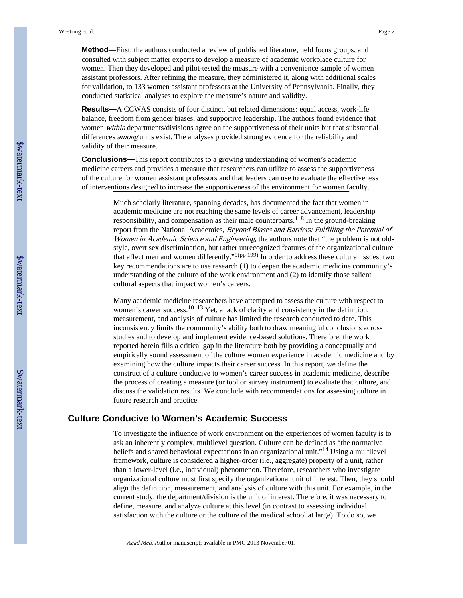**Method—**First, the authors conducted a review of published literature, held focus groups, and consulted with subject matter experts to develop a measure of academic workplace culture for women. Then they developed and pilot-tested the measure with a convenience sample of women assistant professors. After refining the measure, they administered it, along with additional scales for validation, to 133 women assistant professors at the University of Pennsylvania. Finally, they conducted statistical analyses to explore the measure's nature and validity.

**Results—**A CCWAS consists of four distinct, but related dimensions: equal access, work-life balance, freedom from gender biases, and supportive leadership. The authors found evidence that women within departments/divisions agree on the supportiveness of their units but that substantial differences among units exist. The analyses provided strong evidence for the reliability and validity of their measure.

**Conclusions—**This report contributes to a growing understanding of women's academic medicine careers and provides a measure that researchers can utilize to assess the supportiveness of the culture for women assistant professors and that leaders can use to evaluate the effectiveness of interventions designed to increase the supportiveness of the environment for women faculty.

> Much scholarly literature, spanning decades, has documented the fact that women in academic medicine are not reaching the same levels of career advancement, leadership responsibility, and compensation as their male counterparts.<sup>1–8</sup> In the ground-breaking report from the National Academies, Beyond Biases and Barriers: Fulfilling the Potential of Women in Academic Science and Engineering, the authors note that "the problem is not oldstyle, overt sex discrimination, but rather unrecognized features of the organizational culture that affect men and women differently."9(pp 199) In order to address these cultural issues, two key recommendations are to use research (1) to deepen the academic medicine community's understanding of the culture of the work environment and (2) to identify those salient cultural aspects that impact women's careers.

> Many academic medicine researchers have attempted to assess the culture with respect to women's career success.<sup>10–13</sup> Yet, a lack of clarity and consistency in the definition, measurement, and analysis of culture has limited the research conducted to date. This inconsistency limits the community's ability both to draw meaningful conclusions across studies and to develop and implement evidence-based solutions. Therefore, the work reported herein fills a critical gap in the literature both by providing a conceptually and empirically sound assessment of the culture women experience in academic medicine and by examining how the culture impacts their career success. In this report, we define the construct of a culture conducive to women's career success in academic medicine, describe the process of creating a measure (or tool or survey instrument) to evaluate that culture, and discuss the validation results. We conclude with recommendations for assessing culture in future research and practice.

#### **Culture Conducive to Women's Academic Success**

To investigate the influence of work environment on the experiences of women faculty is to ask an inherently complex, multilevel question. Culture can be defined as "the normative beliefs and shared behavioral expectations in an organizational unit."14 Using a multilevel framework, culture is considered a higher-order (i.e., aggregate) property of a unit, rather than a lower-level (i.e., individual) phenomenon. Therefore, researchers who investigate organizational culture must first specify the organizational unit of interest. Then, they should align the definition, measurement, and analysis of culture with this unit. For example, in the current study, the department/division is the unit of interest. Therefore, it was necessary to define, measure, and analyze culture at this level (in contrast to assessing individual satisfaction with the culture or the culture of the medical school at large). To do so, we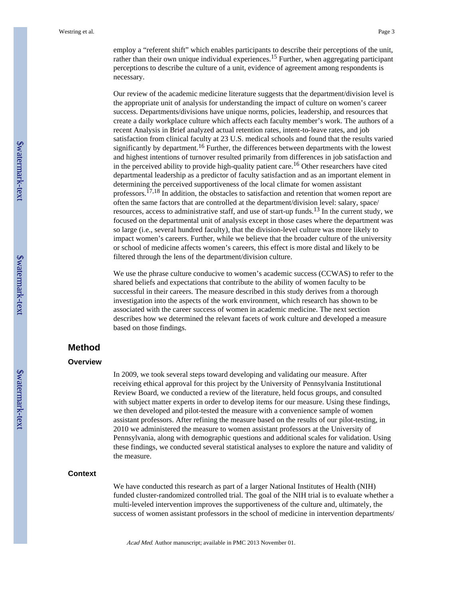employ a "referent shift" which enables participants to describe their perceptions of the unit, rather than their own unique individual experiences.<sup>15</sup> Further, when aggregating participant perceptions to describe the culture of a unit, evidence of agreement among respondents is necessary.

Our review of the academic medicine literature suggests that the department/division level is the appropriate unit of analysis for understanding the impact of culture on women's career success. Departments/divisions have unique norms, policies, leadership, and resources that create a daily workplace culture which affects each faculty member's work. The authors of a recent Analysis in Brief analyzed actual retention rates, intent-to-leave rates, and job satisfaction from clinical faculty at 23 U.S. medical schools and found that the results varied significantly by department.<sup>16</sup> Further, the differences between departments with the lowest and highest intentions of turnover resulted primarily from differences in job satisfaction and in the perceived ability to provide high-quality patient care.16 Other researchers have cited departmental leadership as a predictor of faculty satisfaction and as an important element in determining the perceived supportiveness of the local climate for women assistant professors.<sup> $17,18$ </sup> In addition, the obstacles to satisfaction and retention that women report are often the same factors that are controlled at the department/division level: salary, space/ resources, access to administrative staff, and use of start-up funds.13 In the current study, we focused on the departmental unit of analysis except in those cases where the department was so large (i.e., several hundred faculty), that the division-level culture was more likely to impact women's careers. Further, while we believe that the broader culture of the university or school of medicine affects women's careers, this effect is more distal and likely to be filtered through the lens of the department/division culture.

We use the phrase culture conducive to women's academic success (CCWAS) to refer to the shared beliefs and expectations that contribute to the ability of women faculty to be successful in their careers. The measure described in this study derives from a thorough investigation into the aspects of the work environment, which research has shown to be associated with the career success of women in academic medicine. The next section describes how we determined the relevant facets of work culture and developed a measure based on those findings.

## **Method**

#### **Overview**

In 2009, we took several steps toward developing and validating our measure. After receiving ethical approval for this project by the University of Pennsylvania Institutional Review Board, we conducted a review of the literature, held focus groups, and consulted with subject matter experts in order to develop items for our measure. Using these findings, we then developed and pilot-tested the measure with a convenience sample of women assistant professors. After refining the measure based on the results of our pilot-testing, in 2010 we administered the measure to women assistant professors at the University of Pennsylvania, along with demographic questions and additional scales for validation. Using these findings, we conducted several statistical analyses to explore the nature and validity of the measure.

#### **Context**

We have conducted this research as part of a larger National Institutes of Health (NIH) funded cluster-randomized controlled trial. The goal of the NIH trial is to evaluate whether a multi-leveled intervention improves the supportiveness of the culture and, ultimately, the success of women assistant professors in the school of medicine in intervention departments/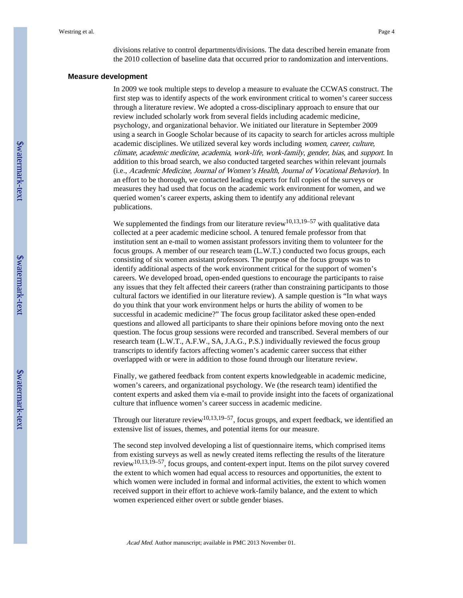#### **Measure development**

In 2009 we took multiple steps to develop a measure to evaluate the CCWAS construct. The first step was to identify aspects of the work environment critical to women's career success through a literature review. We adopted a cross-disciplinary approach to ensure that our review included scholarly work from several fields including academic medicine, psychology, and organizational behavior. We initiated our literature in September 2009 using a search in Google Scholar because of its capacity to search for articles across multiple academic disciplines. We utilized several key words including women, career, culture, climate, academic medicine, academia, work-life, work-family, gender, bias, and support. In addition to this broad search, we also conducted targeted searches within relevant journals (i.e., Academic Medicine, Journal of Women's Health, Journal of Vocational Behavior). In an effort to be thorough, we contacted leading experts for full copies of the surveys or measures they had used that focus on the academic work environment for women, and we queried women's career experts, asking them to identify any additional relevant publications.

We supplemented the findings from our literature review<sup>10,13,19–57</sup> with qualitative data collected at a peer academic medicine school. A tenured female professor from that institution sent an e-mail to women assistant professors inviting them to volunteer for the focus groups. A member of our research team (L.W.T.) conducted two focus groups, each consisting of six women assistant professors. The purpose of the focus groups was to identify additional aspects of the work environment critical for the support of women's careers. We developed broad, open-ended questions to encourage the participants to raise any issues that they felt affected their careers (rather than constraining participants to those cultural factors we identified in our literature review). A sample question is "In what ways do you think that your work environment helps or hurts the ability of women to be successful in academic medicine?" The focus group facilitator asked these open-ended questions and allowed all participants to share their opinions before moving onto the next question. The focus group sessions were recorded and transcribed. Several members of our research team (L.W.T., A.F.W., SA, J.A.G., P.S.) individually reviewed the focus group transcripts to identify factors affecting women's academic career success that either overlapped with or were in addition to those found through our literature review.

Finally, we gathered feedback from content experts knowledgeable in academic medicine, women's careers, and organizational psychology. We (the research team) identified the content experts and asked them via e-mail to provide insight into the facets of organizational culture that influence women's career success in academic medicine.

Through our literature review<sup>10,13,19–57</sup>, focus groups, and expert feedback, we identified an extensive list of issues, themes, and potential items for our measure.

The second step involved developing a list of questionnaire items, which comprised items from existing surveys as well as newly created items reflecting the results of the literature review10,13,19–57, focus groups, and content-expert input. Items on the pilot survey covered the extent to which women had equal access to resources and opportunities, the extent to which women were included in formal and informal activities, the extent to which women received support in their effort to achieve work-family balance, and the extent to which women experienced either overt or subtle gender biases.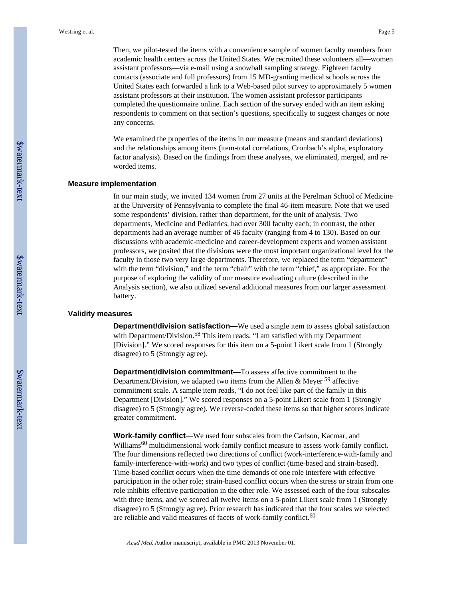Then, we pilot-tested the items with a convenience sample of women faculty members from academic health centers across the United States. We recruited these volunteers all—women assistant professors—via e-mail using a snowball sampling strategy. Eighteen faculty contacts (associate and full professors) from 15 MD-granting medical schools across the United States each forwarded a link to a Web-based pilot survey to approximately 5 women assistant professors at their institution. The women assistant professor participants completed the questionnaire online. Each section of the survey ended with an item asking respondents to comment on that section's questions, specifically to suggest changes or note any concerns.

We examined the properties of the items in our measure (means and standard deviations) and the relationships among items (item-total correlations, Cronbach's alpha, exploratory factor analysis). Based on the findings from these analyses, we eliminated, merged, and reworded items.

#### **Measure implementation**

In our main study, we invited 134 women from 27 units at the Perelman School of Medicine at the University of Pennsylvania to complete the final 46-item measure. Note that we used some respondents' division, rather than department, for the unit of analysis. Two departments, Medicine and Pediatrics, had over 300 faculty each; in contrast, the other departments had an average number of 46 faculty (ranging from 4 to 130). Based on our discussions with academic-medicine and career-development experts and women assistant professors, we posited that the divisions were the most important organizational level for the faculty in those two very large departments. Therefore, we replaced the term "department" with the term "division," and the term "chair" with the term "chief," as appropriate. For the purpose of exploring the validity of our measure evaluating culture (described in the Analysis section), we also utilized several additional measures from our larger assessment battery.

#### **Validity measures**

**Department/division satisfaction—We** used a single item to assess global satisfaction with Department/Division.<sup>58</sup> This item reads, "I am satisfied with my Department [Division]." We scored responses for this item on a 5-point Likert scale from 1 (Strongly disagree) to 5 (Strongly agree).

**Department/division commitment—**To assess affective commitment to the Department/Division, we adapted two items from the Allen  $\&$  Meyer  $^{59}$  affective commitment scale. A sample item reads, "I do not feel like part of the family in this Department [Division]." We scored responses on a 5-point Likert scale from 1 (Strongly disagree) to 5 (Strongly agree). We reverse-coded these items so that higher scores indicate greater commitment.

**Work-family conflict—**We used four subscales from the Carlson, Kacmar, and Williams<sup>60</sup> multidimensional work-family conflict measure to assess work-family conflict. The four dimensions reflected two directions of conflict (work-interference-with-family and family-interference-with-work) and two types of conflict (time-based and strain-based). Time-based conflict occurs when the time demands of one role interfere with effective participation in the other role; strain-based conflict occurs when the stress or strain from one role inhibits effective participation in the other role. We assessed each of the four subscales with three items, and we scored all twelve items on a 5-point Likert scale from 1 (Strongly disagree) to 5 (Strongly agree). Prior research has indicated that the four scales we selected are reliable and valid measures of facets of work-family conflict.<sup>60</sup>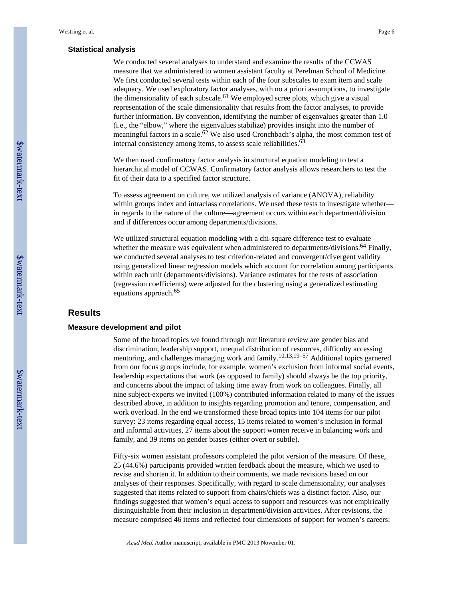#### **Statistical analysis**

We conducted several analyses to understand and examine the results of the CCWAS measure that we administered to women assistant faculty at Perelman School of Medicine. We first conducted several tests within each of the four subscales to exam item and scale adequacy. We used exploratory factor analyses, with no a priori assumptions, to investigate the dimensionality of each subscale.<sup>61</sup> We employed scree plots, which give a visual representation of the scale dimensionality that results from the factor analyses, to provide further information. By convention, identifying the number of eigenvalues greater than 1.0 (i.e., the "elbow," where the eigenvalues stabilize) provides insight into the number of meaningful factors in a scale.<sup>62</sup> We also used Cronchbach's alpha, the most common test of internal consistency among items, to assess scale reliabilities.<sup>63</sup>

We then used confirmatory factor analysis in structural equation modeling to test a hierarchical model of CCWAS. Confirmatory factor analysis allows researchers to test the fit of their data to a specified factor structure.

To assess agreement on culture, we utilized analysis of variance (ANOVA), reliability within groups index and intraclass correlations. We used these tests to investigate whether in regards to the nature of the culture—agreement occurs within each department/division and if differences occur among departments/divisions.

We utilized structural equation modeling with a chi-square difference test to evaluate whether the measure was equivalent when administered to departments/divisions.<sup>64</sup> Finally, we conducted several analyses to test criterion-related and convergent/divergent validity using generalized linear regression models which account for correlation among participants within each unit (departments/divisions). Variance estimates for the tests of association (regression coefficients) were adjusted for the clustering using a generalized estimating equations approach.<sup>65</sup>

#### **Results**

#### **Measure development and pilot**

Some of the broad topics we found through our literature review are gender bias and discrimination, leadership support, unequal distribution of resources, difficulty accessing mentoring, and challenges managing work and family.<sup>10,13,19–57</sup> Additional topics garnered from our focus groups include, for example, women's exclusion from informal social events, leadership expectations that work (as opposed to family) should always be the top priority, and concerns about the impact of taking time away from work on colleagues. Finally, all nine subject-experts we invited (100%) contributed information related to many of the issues described above, in addition to insights regarding promotion and tenure, compensation, and work overload. In the end we transformed these broad topics into 104 items for our pilot survey: 23 items regarding equal access, 15 items related to women's inclusion in formal and informal activities, 27 items about the support women receive in balancing work and family, and 39 items on gender biases (either overt or subtle).

Fifty-six women assistant professors completed the pilot version of the measure. Of these, 25 (44.6%) participants provided written feedback about the measure, which we used to revise and shorten it. In addition to their comments, we made revisions based on our analyses of their responses. Specifically, with regard to scale dimensionality, our analyses suggested that items related to support from chairs/chiefs was a distinct factor. Also, our findings suggested that women's equal access to support and resources was not empirically distinguishable from their inclusion in department/division activities. After revisions, the measure comprised 46 items and reflected four dimensions of support for women's careers: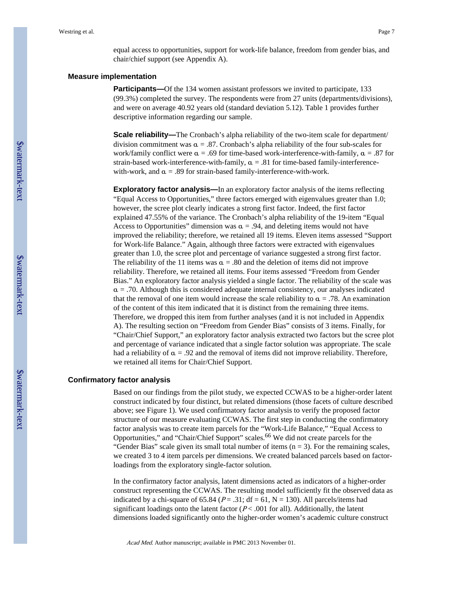equal access to opportunities, support for work-life balance, freedom from gender bias, and chair/chief support (see Appendix A).

#### **Measure implementation**

**Participants—**Of the 134 women assistant professors we invited to participate, 133 (99.3%) completed the survey. The respondents were from 27 units (departments/divisions), and were on average 40.92 years old (standard deviation 5.12). Table 1 provides further descriptive information regarding our sample.

**Scale reliability—**The Cronbach's alpha reliability of the two-item scale for department/ division commitment was  $\alpha = 0.87$ . Cronbach's alpha reliability of the four sub-scales for work/family conflict were  $\alpha = .69$  for time-based work-interference-with-family,  $\alpha = .87$  for strain-based work-interference-with-family,  $\alpha = .81$  for time-based family-interferencewith-work, and  $\alpha = .89$  for strain-based family-interference-with-work.

**Exploratory factor analysis—In an exploratory factor analysis of the items reflecting** "Equal Access to Opportunities," three factors emerged with eigenvalues greater than 1.0; however, the scree plot clearly indicates a strong first factor. Indeed, the first factor explained 47.55% of the variance. The Cronbach's alpha reliability of the 19-item "Equal Access to Opportunities" dimension was  $\alpha = .94$ , and deleting items would not have improved the reliability; therefore, we retained all 19 items. Eleven items assessed "Support for Work-life Balance." Again, although three factors were extracted with eigenvalues greater than 1.0, the scree plot and percentage of variance suggested a strong first factor. The reliability of the 11 items was  $\alpha = .80$  and the deletion of items did not improve reliability. Therefore, we retained all items. Four items assessed "Freedom from Gender Bias." An exploratory factor analysis yielded a single factor. The reliability of the scale was  $\alpha$  = .70. Although this is considered adequate internal consistency, our analyses indicated that the removal of one item would increase the scale reliability to  $\alpha = .78$ . An examination of the content of this item indicated that it is distinct from the remaining three items. Therefore, we dropped this item from further analyses (and it is not included in Appendix A). The resulting section on "Freedom from Gender Bias" consists of 3 items. Finally, for "Chair/Chief Support," an exploratory factor analysis extracted two factors but the scree plot and percentage of variance indicated that a single factor solution was appropriate. The scale had a reliability of  $\alpha = .92$  and the removal of items did not improve reliability. Therefore, we retained all items for Chair/Chief Support.

#### **Confirmatory factor analysis**

Based on our findings from the pilot study, we expected CCWAS to be a higher-order latent construct indicated by four distinct, but related dimensions (those facets of culture described above; see Figure 1). We used confirmatory factor analysis to verify the proposed factor structure of our measure evaluating CCWAS. The first step in conducting the confirmatory factor analysis was to create item parcels for the "Work-Life Balance," "Equal Access to Opportunities," and "Chair/Chief Support" scales.66 We did not create parcels for the "Gender Bias" scale given its small total number of items  $(n = 3)$ . For the remaining scales, we created 3 to 4 item parcels per dimensions. We created balanced parcels based on factorloadings from the exploratory single-factor solution.

In the confirmatory factor analysis, latent dimensions acted as indicators of a higher-order construct representing the CCWAS. The resulting model sufficiently fit the observed data as indicated by a chi-square of 65.84 ( $P = .31$ ; df = 61, N = 130). All parcels/items had significant loadings onto the latent factor  $(P < .001$  for all). Additionally, the latent dimensions loaded significantly onto the higher-order women's academic culture construct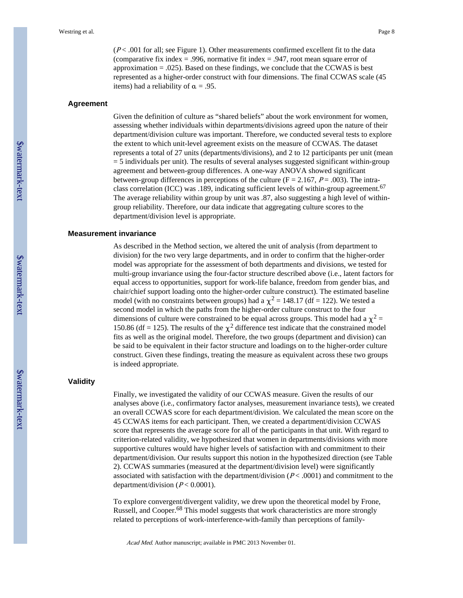$(P<.001$  for all; see Figure 1). Other measurements confirmed excellent fit to the data (comparative fix index  $= .996$ , normative fit index  $= .947$ , root mean square error of approximation  $= .025$ ). Based on these findings, we conclude that the CCWAS is best represented as a higher-order construct with four dimensions. The final CCWAS scale (45 items) had a reliability of  $\alpha = .95$ .

#### **Agreement**

Given the definition of culture as "shared beliefs" about the work environment for women, assessing whether individuals within departments/divisions agreed upon the nature of their department/division culture was important. Therefore, we conducted several tests to explore the extent to which unit-level agreement exists on the measure of CCWAS. The dataset represents a total of 27 units (departments/divisions), and 2 to 12 participants per unit (mean = 5 individuals per unit). The results of several analyses suggested significant within-group agreement and between-group differences. A one-way ANOVA showed significant between-group differences in perceptions of the culture ( $F = 2.167$ ,  $P = .003$ ). The intraclass correlation (ICC) was .189, indicating sufficient levels of within-group agreement.<sup>67</sup> The average reliability within group by unit was .87, also suggesting a high level of withingroup reliability. Therefore, our data indicate that aggregating culture scores to the department/division level is appropriate.

#### **Measurement invariance**

As described in the Method section, we altered the unit of analysis (from department to division) for the two very large departments, and in order to confirm that the higher-order model was appropriate for the assessment of both departments and divisions, we tested for multi-group invariance using the four-factor structure described above (i.e., latent factors for equal access to opportunities, support for work-life balance, freedom from gender bias, and chair/chief support loading onto the higher-order culture construct). The estimated baseline model (with no constraints between groups) had a  $\chi^2$  = 148.17 (df = 122). We tested a second model in which the paths from the higher-order culture construct to the four dimensions of culture were constrained to be equal across groups. This model had a  $\chi^2$  = 150.86 (df = 125). The results of the  $\chi^2$  difference test indicate that the constrained model fits as well as the original model. Therefore, the two groups (department and division) can be said to be equivalent in their factor structure and loadings on to the higher-order culture construct. Given these findings, treating the measure as equivalent across these two groups is indeed appropriate.

#### **Validity**

Finally, we investigated the validity of our CCWAS measure. Given the results of our analyses above (i.e., confirmatory factor analyses, measurement invariance tests), we created an overall CCWAS score for each department/division. We calculated the mean score on the 45 CCWAS items for each participant. Then, we created a department/division CCWAS score that represents the average score for all of the participants in that unit. With regard to criterion-related validity, we hypothesized that women in departments/divisions with more supportive cultures would have higher levels of satisfaction with and commitment to their department/division. Our results support this notion in the hypothesized direction (see Table 2). CCWAS summaries (measured at the department/division level) were significantly associated with satisfaction with the department/division  $(P<.0001)$  and commitment to the department/division  $(P < 0.0001)$ .

To explore convergent/divergent validity, we drew upon the theoretical model by Frone, Russell, and Cooper.68 This model suggests that work characteristics are more strongly related to perceptions of work-interference-with-family than perceptions of family-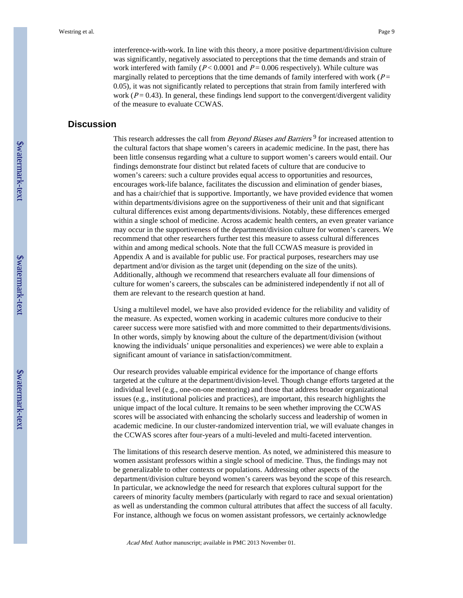interference-with-work. In line with this theory, a more positive department/division culture was significantly, negatively associated to perceptions that the time demands and strain of work interfered with family ( $P < 0.0001$  and  $P = 0.006$  respectively). While culture was marginally related to perceptions that the time demands of family interfered with work ( $P=$ 0.05), it was not significantly related to perceptions that strain from family interfered with work ( $P = 0.43$ ). In general, these findings lend support to the convergent/divergent validity of the measure to evaluate CCWAS.

# **Discussion**

This research addresses the call from *Beyond Biases and Barriers*<sup>9</sup> for increased attention to the cultural factors that shape women's careers in academic medicine. In the past, there has been little consensus regarding what a culture to support women's careers would entail. Our findings demonstrate four distinct but related facets of culture that are conducive to women's careers: such a culture provides equal access to opportunities and resources, encourages work-life balance, facilitates the discussion and elimination of gender biases, and has a chair/chief that is supportive. Importantly, we have provided evidence that women within departments/divisions agree on the supportiveness of their unit and that significant cultural differences exist among departments/divisions. Notably, these differences emerged within a single school of medicine. Across academic health centers, an even greater variance may occur in the supportiveness of the department/division culture for women's careers. We recommend that other researchers further test this measure to assess cultural differences within and among medical schools. Note that the full CCWAS measure is provided in Appendix A and is available for public use. For practical purposes, researchers may use department and/or division as the target unit (depending on the size of the units). Additionally, although we recommend that researchers evaluate all four dimensions of culture for women's careers, the subscales can be administered independently if not all of them are relevant to the research question at hand.

Using a multilevel model, we have also provided evidence for the reliability and validity of the measure. As expected, women working in academic cultures more conducive to their career success were more satisfied with and more committed to their departments/divisions. In other words, simply by knowing about the culture of the department/division (without knowing the individuals' unique personalities and experiences) we were able to explain a significant amount of variance in satisfaction/commitment.

Our research provides valuable empirical evidence for the importance of change efforts targeted at the culture at the department/division-level. Though change efforts targeted at the individual level (e.g., one-on-one mentoring) and those that address broader organizational issues (e.g., institutional policies and practices), are important, this research highlights the unique impact of the local culture. It remains to be seen whether improving the CCWAS scores will be associated with enhancing the scholarly success and leadership of women in academic medicine. In our cluster-randomized intervention trial, we will evaluate changes in the CCWAS scores after four-years of a multi-leveled and multi-faceted intervention.

The limitations of this research deserve mention. As noted, we administered this measure to women assistant professors within a single school of medicine. Thus, the findings may not be generalizable to other contexts or populations. Addressing other aspects of the department/division culture beyond women's careers was beyond the scope of this research. In particular, we acknowledge the need for research that explores cultural support for the careers of minority faculty members (particularly with regard to race and sexual orientation) as well as understanding the common cultural attributes that affect the success of all faculty. For instance, although we focus on women assistant professors, we certainly acknowledge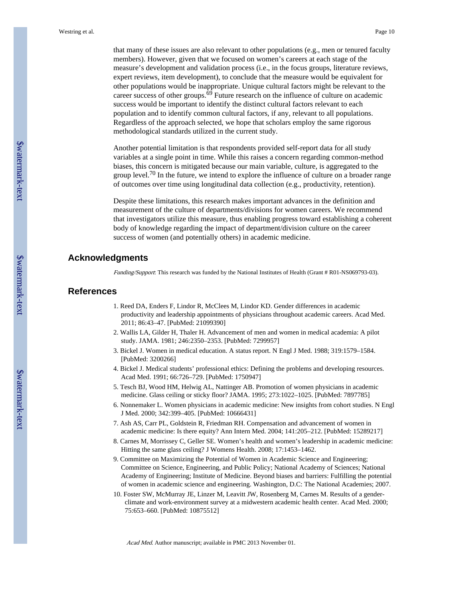that many of these issues are also relevant to other populations (e.g., men or tenured faculty members). However, given that we focused on women's careers at each stage of the measure's development and validation process (i.e., in the focus groups, literature reviews, expert reviews, item development), to conclude that the measure would be equivalent for other populations would be inappropriate. Unique cultural factors might be relevant to the career success of other groups.<sup>69</sup> Future research on the influence of culture on academic success would be important to identify the distinct cultural factors relevant to each population and to identify common cultural factors, if any, relevant to all populations. Regardless of the approach selected, we hope that scholars employ the same rigorous methodological standards utilized in the current study.

Another potential limitation is that respondents provided self-report data for all study variables at a single point in time. While this raises a concern regarding common-method biases, this concern is mitigated because our main variable, culture, is aggregated to the group level.<sup>70</sup> In the future, we intend to explore the influence of culture on a broader range of outcomes over time using longitudinal data collection (e.g., productivity, retention).

Despite these limitations, this research makes important advances in the definition and measurement of the culture of departments/divisions for women careers. We recommend that investigators utilize this measure, thus enabling progress toward establishing a coherent body of knowledge regarding the impact of department/division culture on the career success of women (and potentially others) in academic medicine.

#### **Acknowledgments**

Funding/Support: This research was funded by the National Institutes of Health (Grant # R01-NS069793-03).

#### **References**

- 1. Reed DA, Enders F, Lindor R, McClees M, Lindor KD. Gender differences in academic productivity and leadership appointments of physicians throughout academic careers. Acad Med. 2011; 86:43–47. [PubMed: 21099390]
- 2. Wallis LA, Gilder H, Thaler H. Advancement of men and women in medical academia: A pilot study. JAMA. 1981; 246:2350–2353. [PubMed: 7299957]
- 3. Bickel J. Women in medical education. A status report. N Engl J Med. 1988; 319:1579–1584. [PubMed: 3200266]
- 4. Bickel J. Medical students' professional ethics: Defining the problems and developing resources. Acad Med. 1991; 66:726–729. [PubMed: 1750947]
- 5. Tesch BJ, Wood HM, Helwig AL, Nattinger AB. Promotion of women physicians in academic medicine. Glass ceiling or sticky floor? JAMA. 1995; 273:1022–1025. [PubMed: 7897785]
- 6. Nonnemaker L. Women physicians in academic medicine: New insights from cohort studies. N Engl J Med. 2000; 342:399–405. [PubMed: 10666431]
- 7. Ash AS, Carr PL, Goldstein R, Friedman RH. Compensation and advancement of women in academic medicine: Is there equity? Ann Intern Med. 2004; 141:205–212. [PubMed: 15289217]
- 8. Carnes M, Morrissey C, Geller SE. Women's health and women's leadership in academic medicine: Hitting the same glass ceiling? J Womens Health. 2008; 17:1453–1462.
- 9. Committee on Maximizing the Potential of Women in Academic Science and Engineering; Committee on Science, Engineering, and Public Policy; National Academy of Sciences; National Academy of Engineering; Institute of Medicine. Beyond biases and barriers: Fulfilling the potential of women in academic science and engineering. Washington, D.C: The National Academies; 2007.
- 10. Foster SW, McMurray JE, Linzer M, Leavitt JW, Rosenberg M, Carnes M. Results of a genderclimate and work-environment survey at a midwestern academic health center. Acad Med. 2000; 75:653–660. [PubMed: 10875512]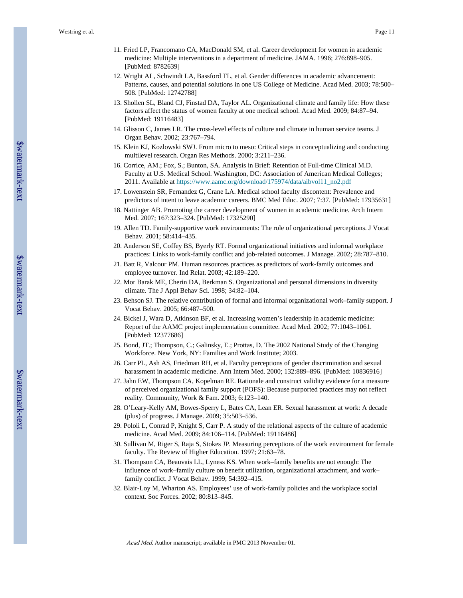- 11. Fried LP, Francomano CA, MacDonald SM, et al. Career development for women in academic medicine: Multiple interventions in a department of medicine. JAMA. 1996; 276:898–905. [PubMed: 8782639]
- 12. Wright AL, Schwindt LA, Bassford TL, et al. Gender differences in academic advancement: Patterns, causes, and potential solutions in one US College of Medicine. Acad Med. 2003; 78:500– 508. [PubMed: 12742788]
- 13. Shollen SL, Bland CJ, Finstad DA, Taylor AL. Organizational climate and family life: How these factors affect the status of women faculty at one medical school. Acad Med. 2009; 84:87–94. [PubMed: 19116483]
- 14. Glisson C, James LR. The cross-level effects of culture and climate in human service teams. J Organ Behav. 2002; 23:767–794.
- 15. Klein KJ, Kozlowski SWJ. From micro to meso: Critical steps in conceptualizing and conducting multilevel research. Organ Res Methods. 2000; 3:211–236.
- 16. Corrice, AM.; Fox, S.; Bunton, SA. Analysis in Brief: Retention of Full-time Clinical M.D. Faculty at U.S. Medical School. Washington, DC: Association of American Medical Colleges; 2011. Available at [https://www.aamc.org/download/175974/data/aibvol11\\_no2.pdf](https://www.aamc.org/download/175974/data/aibvol11_no2.pdf)
- 17. Lowenstein SR, Fernandez G, Crane LA. Medical school faculty discontent: Prevalence and predictors of intent to leave academic careers. BMC Med Educ. 2007; 7:37. [PubMed: 17935631]
- 18. Nattinger AB. Promoting the career development of women in academic medicine. Arch Intern Med. 2007; 167:323–324. [PubMed: 17325290]
- 19. Allen TD. Family-supportive work environments: The role of organizational perceptions. J Vocat Behav. 2001; 58:414–435.
- 20. Anderson SE, Coffey BS, Byerly RT. Formal organizational initiatives and informal workplace practices: Links to work-family conflict and job-related outcomes. J Manage. 2002; 28:787–810.
- 21. Batt R, Valcour PM. Human resources practices as predictors of work-family outcomes and employee turnover. Ind Relat. 2003; 42:189–220.
- 22. Mor Barak ME, Cherin DA, Berkman S. Organizational and personal dimensions in diversity climate. The J Appl Behav Sci. 1998; 34:82–104.
- 23. Behson SJ. The relative contribution of formal and informal organizational work–family support. J Vocat Behav. 2005; 66:487–500.
- 24. Bickel J, Wara D, Atkinson BF, et al. Increasing women's leadership in academic medicine: Report of the AAMC project implementation committee. Acad Med. 2002; 77:1043–1061. [PubMed: 12377686]
- 25. Bond, JT.; Thompson, C.; Galinsky, E.; Prottas, D. The 2002 National Study of the Changing Workforce. New York, NY: Families and Work Institute; 2003.
- 26. Carr PL, Ash AS, Friedman RH, et al. Faculty perceptions of gender discrimination and sexual harassment in academic medicine. Ann Intern Med. 2000; 132:889–896. [PubMed: 10836916]
- 27. Jahn EW, Thompson CA, Kopelman RE. Rationale and construct validity evidence for a measure of perceived organizational family support (POFS): Because purported practices may not reflect reality. Community, Work & Fam. 2003; 6:123–140.
- 28. O'Leary-Kelly AM, Bowes-Sperry L, Bates CA, Lean ER. Sexual harassment at work: A decade (plus) of progress. J Manage. 2009; 35:503–536.
- 29. Pololi L, Conrad P, Knight S, Carr P. A study of the relational aspects of the culture of academic medicine. Acad Med. 2009; 84:106–114. [PubMed: 19116486]
- 30. Sullivan M, Riger S, Raja S, Stokes JP. Measuring perceptions of the work environment for female faculty. The Review of Higher Education. 1997; 21:63–78.
- 31. Thompson CA, Beauvais LL, Lyness KS. When work–family benefits are not enough: The influence of work–family culture on benefit utilization, organizational attachment, and work– family conflict. J Vocat Behav. 1999; 54:392–415.
- 32. Blair-Loy M, Wharton AS. Employees' use of work-family policies and the workplace social context. Soc Forces. 2002; 80:813–845.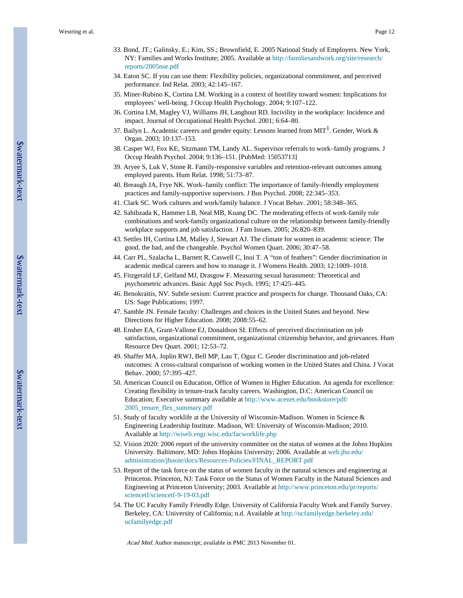- 33. Bond, JT.; Galinsky, E.; Kim, SS.; Brownfield, E. 2005 National Study of Employers. New York, NY: Families and Works Institute; 2005. Available at [http://familiesandwork.org/site/research/](http://familiesandwork.org/site/research/reports/2005nse.pdf) [reports/2005nse.pdf](http://familiesandwork.org/site/research/reports/2005nse.pdf)
- 34. Eaton SC. If you can use them: Flexibility policies, organizational commitment, and perceived performance. Ind Relat. 2003; 42:145–167.
- 35. Miner-Rubino K, Cortina LM. Working in a context of hostility toward women: Implications for employees' well-being. J Occup Health Psychology. 2004; 9:107–122.
- 36. Cortina LM, Magley VJ, Williams JH, Langhout RD. Incivility in the workplace: Incidence and impact. Journal of Occupational Health Psychol. 2001; 6:64–80.
- 37. Bailyn L. Academic careers and gender equity: Lessons learned from MIT<sup>1</sup>. Gender, Work & Organ. 2003; 10:137–153.
- 38. Casper WJ, Fox KE, Sitzmann TM, Landy AL. Supervisor referrals to work–family programs. J Occup Health Psychol. 2004; 9:136–151. [PubMed: 15053713]
- 39. Aryee S, Luk V, Stone R. Family-responsive variables and retention-relevant outcomes among employed parents. Hum Relat. 1998; 51:73–87.
- 40. Breaugh JA, Frye NK. Work–family conflict: The importance of family-friendly employment practices and family-supportive supervisors. J Bus Psychol. 2008; 22:345–353.
- 41. Clark SC. Work cultures and work/family balance. J Vocat Behav. 2001; 58:348–365.
- 42. Sahibzada K, Hammer LB, Neal MB, Kuang DC. The moderating effects of work-family role combinations and work-family organizational culture on the relationship between family-friendly workplace supports and job satisfaction. J Fam Issues. 2005; 26:820–839.
- 43. Settles IH, Cortina LM, Malley J, Stewart AJ. The climate for women in academic science: The good, the bad, and the changeable. Psychol Women Quart. 2006; 30:47–58.
- 44. Carr PL, Szalacha L, Barnett R, Caswell C, Inui T. A "ton of feathers": Gender discrimination in academic medical careers and how to manage it. J Womens Health. 2003; 12:1009–1018.
- 45. Fitzgerald LF, Gelfand MJ, Drasgow F. Measuring sexual harassment: Theoretical and psychometric advances. Basic Appl Soc Psych. 1995; 17:425–445.
- 46. Benokraitis, NV. Subtle sexism: Current practice and prospects for change. Thousand Oaks, CA: US: Sage Publications; 1997.
- 47. Samble JN. Female faculty: Challenges and choices in the United States and beyond. New Directions for Higher Education. 2008; 2008:55–62.
- 48. Ensher EA, Grant-Vallone EJ, Donaldson SI. Effects of perceived discrimination on job satisfaction, organizational commitment, organizational citizenship behavior, and grievances. Hum Resource Dev Quart. 2001; 12:53–72.
- 49. Shaffer MA, Joplin RWJ, Bell MP, Lau T, Oguz C. Gender discrimination and job-related outcomes: A cross-cultural comparison of working women in the United States and China. J Vocat Behav. 2000; 57:395–427.
- 50. American Council on Education, Office of Women in Higher Education. An agenda for excellence: Creating flexibility in tenure-track faculty careers. Washington, D.C: American Council on Education; Executive summary available at [http://www.acenet.edu/bookstore/pdf/](http://www.acenet.edu/bookstore/pdf/2005_tenure_flex_summary.pdf) [2005\\_tenure\\_flex\\_summary.pdf](http://www.acenet.edu/bookstore/pdf/2005_tenure_flex_summary.pdf)
- 51. Study of faculty worklife at the University of Wisconsin-Madison. Women in Science & Engineering Leadership Institute. Madison, WI: University of Wisconsin-Madison; 2010. Available at <http://wiseli.engr.wisc.edu/facworklife.php>
- 52. Vision 2020: 2006 report of the university committee on the status of women at the Johns Hopkins University. Baltimore, MD: Johns Hopkins University; 2006. Available at web.jhu.edu/ administration/jhuoie/docs/Resources-Policies/FINAL\_REPORT.pdf
- 53. Report of the task force on the status of women faculty in the natural sciences and engineering at Princeton. Princeton, NJ: Task Force on the Status of Women Faculty in the Natural Sciences and Engineering at Princeton University; 2003. Available at [http://www.princeton.edu/pr/reports/](http://www.princeton.edu/pr/reports/sciencetf/sciencetf-9-19-03.pdf) [sciencetf/sciencetf-9-19-03.pdf](http://www.princeton.edu/pr/reports/sciencetf/sciencetf-9-19-03.pdf)
- 54. The UC Faculty Family Friendly Edge. University of California Faculty Work and Family Survey. Berkeley, CA: University of California; n.d. Available at [http://ucfamilyedge.berkeley.edu/](http://ucfamilyedge.berkeley.edu/ucfamilyedge.pdf) [ucfamilyedge.pdf](http://ucfamilyedge.berkeley.edu/ucfamilyedge.pdf)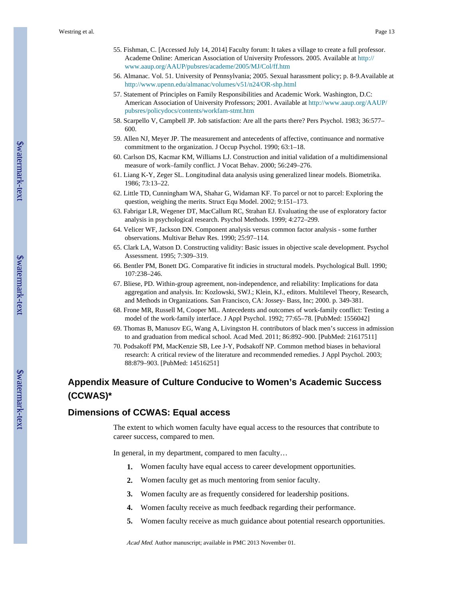- 55. Fishman, C. [Accessed July 14, 2014] Faculty forum: It takes a village to create a full professor. Academe Online: American Association of University Professors. 2005. Available at [http://](http://www.aaup.org/AAUP/pubsres/academe/2005/MJ/Col/ff.htm) [www.aaup.org/AAUP/pubsres/academe/2005/MJ/Col/ff.htm](http://www.aaup.org/AAUP/pubsres/academe/2005/MJ/Col/ff.htm)
- 56. Almanac. Vol. 51. University of Pennsylvania; 2005. Sexual harassment policy; p. 8-9.Available at <http://www.upenn.edu/almanac/volumes/v51/n24/OR-shp.html>
- 57. Statement of Principles on Family Responsibilities and Academic Work. Washington, D.C: American Association of University Professors; 2001. Available at [http://www.aaup.org/AAUP/](http://www.aaup.org/AAUP/pubsres/policydocs/contents/workfam-stmt.htm) [pubsres/policydocs/contents/workfam-stmt.htm](http://www.aaup.org/AAUP/pubsres/policydocs/contents/workfam-stmt.htm)
- 58. Scarpello V, Campbell JP. Job satisfaction: Are all the parts there? Pers Psychol. 1983; 36:577– 600.
- 59. Allen NJ, Meyer JP. The measurement and antecedents of affective, continuance and normative commitment to the organization. J Occup Psychol. 1990; 63:1–18.
- 60. Carlson DS, Kacmar KM, Williams LJ. Construction and initial validation of a multidimensional measure of work–family conflict. J Vocat Behav. 2000; 56:249–276.
- 61. Liang K-Y, Zeger SL. Longitudinal data analysis using generalized linear models. Biometrika. 1986; 73:13–22.
- 62. Little TD, Cunningham WA, Shahar G, Widaman KF. To parcel or not to parcel: Exploring the question, weighing the merits. Struct Equ Model. 2002; 9:151–173.
- 63. Fabrigar LR, Wegener DT, MacCallum RC, Strahan EJ. Evaluating the use of exploratory factor analysis in psychological research. Psychol Methods. 1999; 4:272–299.
- 64. Velicer WF, Jackson DN. Component analysis versus common factor analysis some further observations. Multivar Behav Res. 1990; 25:97–114.
- 65. Clark LA, Watson D. Constructing validity: Basic issues in objective scale development. Psychol Assessment. 1995; 7:309–319.
- 66. Bentler PM, Bonett DG. Comparative fit indicies in structural models. Psychological Bull. 1990; 107:238–246.
- 67. Bliese, PD. Within-group agreement, non-independence, and reliability: Implications for data aggregation and analysis. In: Kozlowski, SWJ.; Klein, KJ., editors. Multilevel Theory, Research, and Methods in Organizations. San Francisco, CA: Jossey- Bass, Inc; 2000. p. 349-381.
- 68. Frone MR, Russell M, Cooper ML. Antecedents and outcomes of work-family conflict: Testing a model of the work-family interface. J Appl Psychol. 1992; 77:65–78. [PubMed: 1556042]
- 69. Thomas B, Manusov EG, Wang A, Livingston H. contributors of black men's success in admission to and graduation from medical school. Acad Med. 2011; 86:892–900. [PubMed: 21617511]
- 70. Podsakoff PM, MacKenzie SB, Lee J-Y, Podsakoff NP. Common method biases in behavioral research: A critical review of the literature and recommended remedies. J Appl Psychol. 2003; 88:879–903. [PubMed: 14516251]

# **Appendix Measure of Culture Conducive to Women's Academic Success (CCWAS)\***

#### **Dimensions of CCWAS: Equal access**

The extent to which women faculty have equal access to the resources that contribute to career success, compared to men.

In general, in my department, compared to men faculty…

- **1.** Women faculty have equal access to career development opportunities.
- **2.** Women faculty get as much mentoring from senior faculty.
- **3.** Women faculty are as frequently considered for leadership positions.
- **4.** Women faculty receive as much feedback regarding their performance.
- **5.** Women faculty receive as much guidance about potential research opportunities.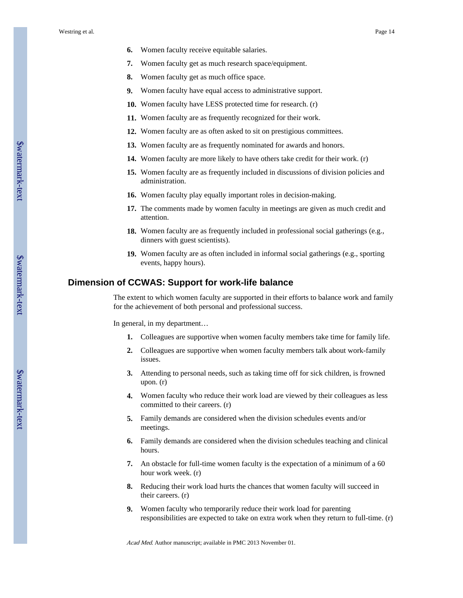- **6.** Women faculty receive equitable salaries.
- **7.** Women faculty get as much research space/equipment.
- **8.** Women faculty get as much office space.
- **9.** Women faculty have equal access to administrative support.
- **10.** Women faculty have LESS protected time for research. (r)
- **11.** Women faculty are as frequently recognized for their work.
- **12.** Women faculty are as often asked to sit on prestigious committees.
- **13.** Women faculty are as frequently nominated for awards and honors.
- **14.** Women faculty are more likely to have others take credit for their work. (r)
- **15.** Women faculty are as frequently included in discussions of division policies and administration.
- **16.** Women faculty play equally important roles in decision-making.
- **17.** The comments made by women faculty in meetings are given as much credit and attention.
- **18.** Women faculty are as frequently included in professional social gatherings (e.g., dinners with guest scientists).
- **19.** Women faculty are as often included in informal social gatherings (e.g., sporting events, happy hours).

#### **Dimension of CCWAS: Support for work-life balance**

The extent to which women faculty are supported in their efforts to balance work and family for the achievement of both personal and professional success.

In general, in my department…

- **1.** Colleagues are supportive when women faculty members take time for family life.
- **2.** Colleagues are supportive when women faculty members talk about work-family issues.
- **3.** Attending to personal needs, such as taking time off for sick children, is frowned upon. (r)
- **4.** Women faculty who reduce their work load are viewed by their colleagues as less committed to their careers. (r)
- **5.** Family demands are considered when the division schedules events and/or meetings.
- **6.** Family demands are considered when the division schedules teaching and clinical hours.
- **7.** An obstacle for full-time women faculty is the expectation of a minimum of a 60 hour work week. (r)
- **8.** Reducing their work load hurts the chances that women faculty will succeed in their careers. (r)
- **9.** Women faculty who temporarily reduce their work load for parenting responsibilities are expected to take on extra work when they return to full-time. (r)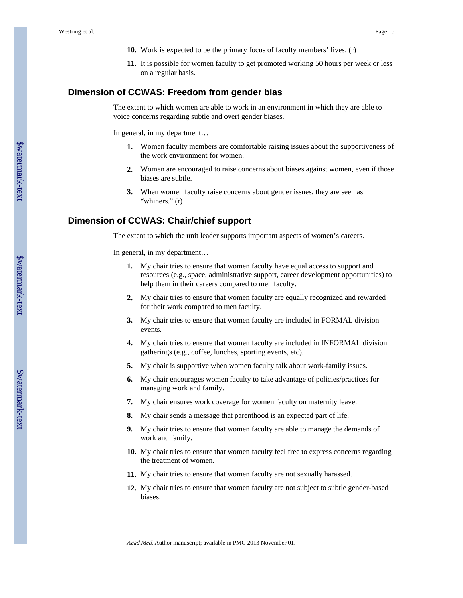- **10.** Work is expected to be the primary focus of faculty members' lives. (r)
- **11.** It is possible for women faculty to get promoted working 50 hours per week or less on a regular basis.

#### **Dimension of CCWAS: Freedom from gender bias**

The extent to which women are able to work in an environment in which they are able to voice concerns regarding subtle and overt gender biases.

In general, in my department…

- **1.** Women faculty members are comfortable raising issues about the supportiveness of the work environment for women.
- **2.** Women are encouraged to raise concerns about biases against women, even if those biases are subtle.
- **3.** When women faculty raise concerns about gender issues, they are seen as "whiners." (r)

#### **Dimension of CCWAS: Chair/chief support**

The extent to which the unit leader supports important aspects of women's careers.

In general, in my department…

- **1.** My chair tries to ensure that women faculty have equal access to support and resources (e.g., space, administrative support, career development opportunities) to help them in their careers compared to men faculty.
- **2.** My chair tries to ensure that women faculty are equally recognized and rewarded for their work compared to men faculty.
- **3.** My chair tries to ensure that women faculty are included in FORMAL division events.
- **4.** My chair tries to ensure that women faculty are included in INFORMAL division gatherings (e.g., coffee, lunches, sporting events, etc).
- **5.** My chair is supportive when women faculty talk about work-family issues.
- **6.** My chair encourages women faculty to take advantage of policies/practices for managing work and family.
- **7.** My chair ensures work coverage for women faculty on maternity leave.
- **8.** My chair sends a message that parenthood is an expected part of life.
- **9.** My chair tries to ensure that women faculty are able to manage the demands of work and family.
- **10.** My chair tries to ensure that women faculty feel free to express concerns regarding the treatment of women.
- **11.** My chair tries to ensure that women faculty are not sexually harassed.
- **12.** My chair tries to ensure that women faculty are not subject to subtle gender-based biases.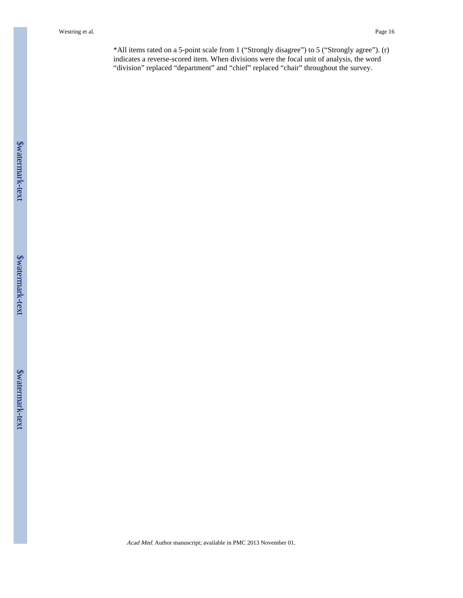Westring et al. Page 16

\*All items rated on a 5-point scale from 1 ("Strongly disagree") to 5 ("Strongly agree"). (r) indicates a reverse-scored item. When divisions were the focal unit of analysis, the word "division" replaced "department" and "chief" replaced "chair" throughout the survey.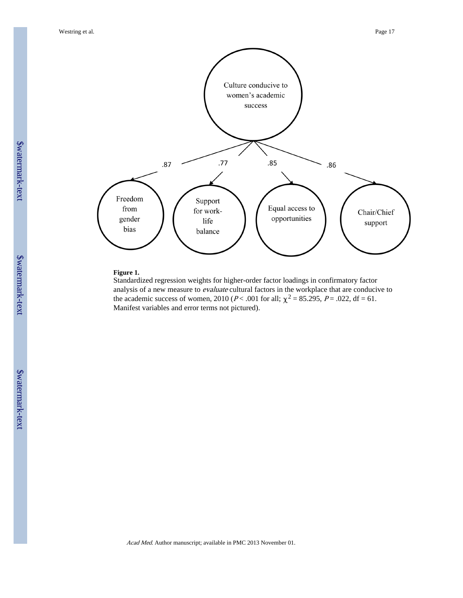Westring et al. Page 17



#### **Figure 1.**

Standardized regression weights for higher-order factor loadings in confirmatory factor analysis of a new measure to *evaluate* cultural factors in the workplace that are conducive to the academic success of women, 2010 ( $P < .001$  for all;  $\chi^2 = 85.295$ ,  $P = .022$ , df = 61. Manifest variables and error terms not pictured).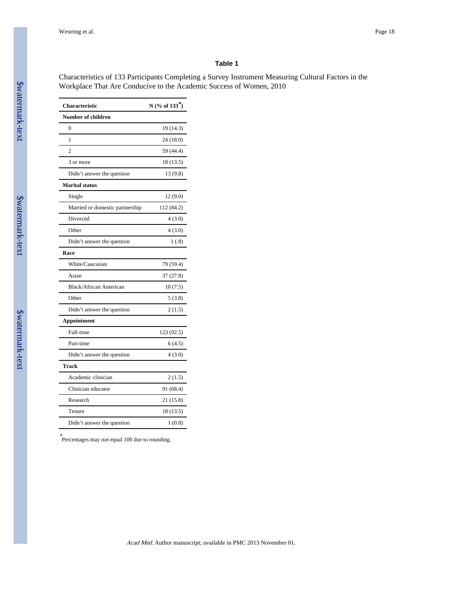#### **Table 1**

Characteristics of 133 Participants Completing a Survey Instrument Measuring Cultural Factors in the Workplace That Are Conducive to the Academic Success of Women, 2010

| <b>Characteristic</b>           | N (% of $133^*$ ) |
|---------------------------------|-------------------|
| <b>Number of children</b>       |                   |
| $\theta$                        | 19 (14.3)         |
| 1                               | 24 (18.0)         |
| $\overline{c}$                  | 59 (44.4)         |
| 3 or more                       | 18 (13.5)         |
| Didn't answer the question      | 13 (9.8)          |
| <b>Marital status</b>           |                   |
| Single                          | 12 (9.0)          |
| Married or domestic partnership | 112 (84.2)        |
| Divorced                        | 4(3.0)            |
| Other                           | 4(3.0)            |
| Didn't answer the question      | 1(0.8)            |
| Race                            |                   |
| White/Caucasian                 | 79 (59.4)         |
| Asian                           | 37 (27.8)         |
| <b>Black/African American</b>   | 10(7.5)           |
| Other                           | 5(3.8)            |
| Didn't answer the question      | 2(1.5)            |
| Appointment                     |                   |
| Full-time                       | 123 (92.5)        |
| Part-time                       | 6(4.5)            |
| Didn't answer the question      | 4(3.0)            |
| <b>Track</b>                    |                   |
| Academic clinician              | 2(1.5)            |
| Clinician educator              | 91 (68.4)         |
| Research                        | 21(15.8)          |
| Tenure                          | 18 (13.5)         |
| Didn't answer the question      | 1(0.8)            |

\* Percentages may not equal 100 due to rounding.